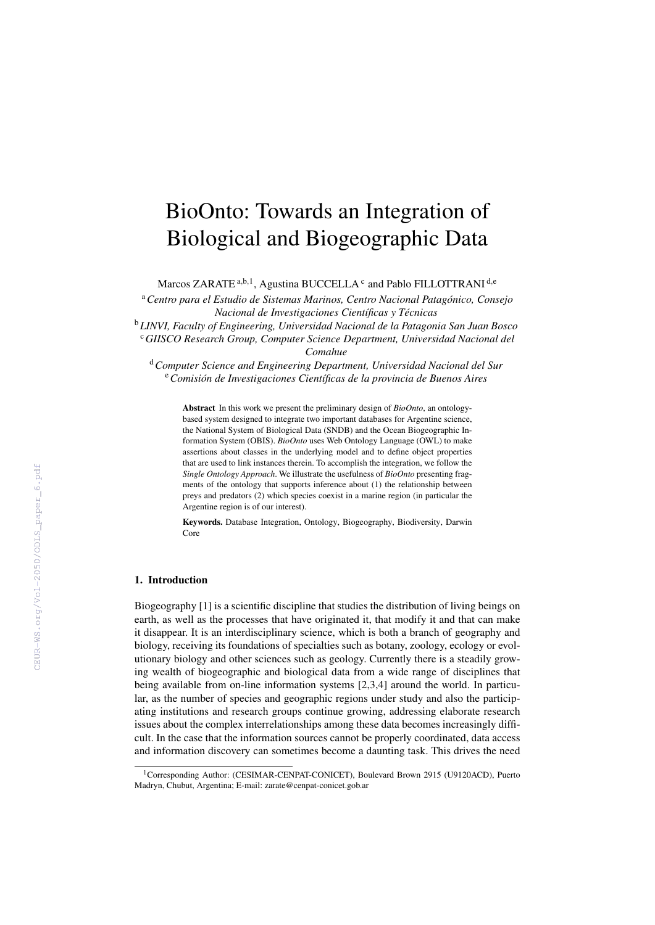# BioOnto: Towards an Integration of Biological and Biogeographic Data

Marcos ZARATE<sup>a,b,1</sup>, Agustina BUCCELLA<sup>c</sup> and Pablo FILLOTTRANI<sup>d,e</sup>

<sup>a</sup>*Centro para el Estudio de Sistemas Marinos, Centro Nacional Patagonico, Consejo ´ Nacional de Investigaciones Científicas y Técnicas* 

<sup>b</sup>*LINVI, Faculty of Engineering, Universidad Nacional de la Patagonia San Juan Bosco* <sup>c</sup>*GIISCO Research Group, Computer Science Department, Universidad Nacional del Comahue*

<sup>d</sup>*Computer Science and Engineering Department, Universidad Nacional del Sur* <sup>e</sup>*Comision de Investigaciones Cient ´ ´ıficas de la provincia de Buenos Aires*

Abstract In this work we present the preliminary design of *BioOnto*, an ontologybased system designed to integrate two important databases for Argentine science, the National System of Biological Data (SNDB) and the Ocean Biogeographic Information System (OBIS). *BioOnto* uses Web Ontology Language (OWL) to make assertions about classes in the underlying model and to define object properties that are used to link instances therein. To accomplish the integration, we follow the *Single Ontology Approach*. We illustrate the usefulness of *BioOnto* presenting fragments of the ontology that supports inference about (1) the relationship between preys and predators (2) which species coexist in a marine region (in particular the Argentine region is of our interest).

Keywords. Database Integration, Ontology, Biogeography, Biodiversity, Darwin Core

## 1. Introduction

Biogeography [1] is a scientific discipline that studies the distribution of living beings on earth, as well as the processes that have originated it, that modify it and that can make it disappear. It is an interdisciplinary science, which is both a branch of geography and biology, receiving its foundations of specialties such as botany, zoology, ecology or evolutionary biology and other sciences such as geology. Currently there is a steadily growing wealth of biogeographic and biological data from a wide range of disciplines that being available from on-line information systems [2,3,4] around the world. In particular, as the number of species and geographic regions under study and also the participating institutions and research groups continue growing, addressing elaborate research issues about the complex interrelationships among these data becomes increasingly difficult. In the case that the information sources cannot be properly coordinated, data access and information discovery can sometimes become a daunting task. This drives the need

<sup>&</sup>lt;sup>1</sup>Corresponding Author: (CESIMAR-CENPAT-CONICET), Boulevard Brown 2915 (U9120ACD), Puerto Madryn, Chubut, Argentina; E-mail: zarate@cenpat-conicet.gob.ar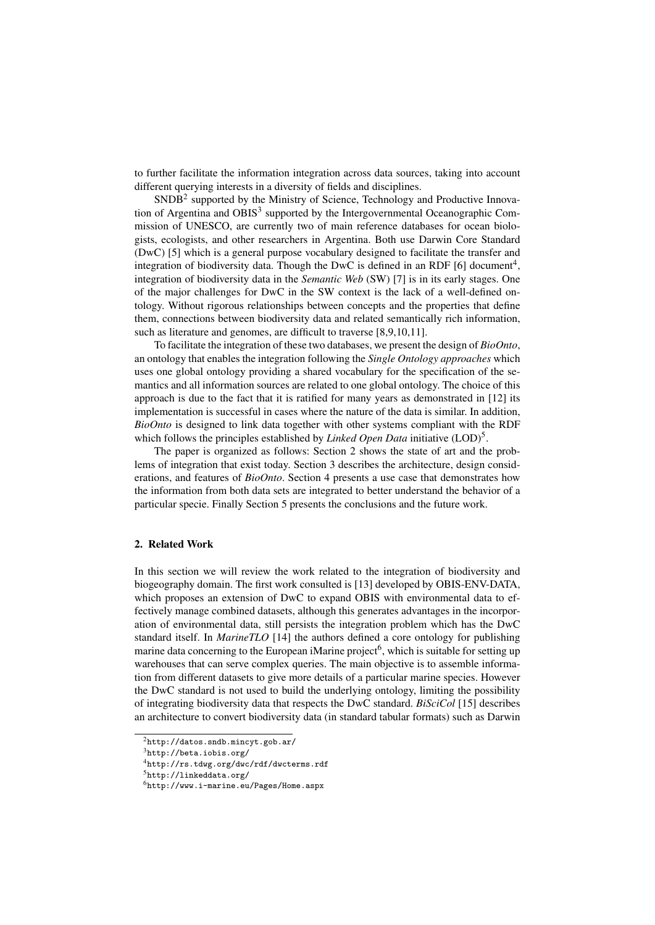to further facilitate the information integration across data sources, taking into account different querying interests in a diversity of fields and disciplines.

SNDB<sup>2</sup> supported by the Ministry of Science, Technology and Productive Innovation of Argentina and OBIS $3$  supported by the Intergovernmental Oceanographic Commission of UNESCO, are currently two of main reference databases for ocean biologists, ecologists, and other researchers in Argentina. Both use Darwin Core Standard (DwC) [5] which is a general purpose vocabulary designed to facilitate the transfer and integration of biodiversity data. Though the DwC is defined in an RDF [6] document<sup>4</sup>, integration of biodiversity data in the *Semantic Web* (SW) [7] is in its early stages. One of the major challenges for DwC in the SW context is the lack of a well-defined ontology. Without rigorous relationships between concepts and the properties that define them, connections between biodiversity data and related semantically rich information, such as literature and genomes, are difficult to traverse [8,9,10,11].

To facilitate the integration of these two databases, we present the design of *BioOnto*, an ontology that enables the integration following the *Single Ontology approaches* which uses one global ontology providing a shared vocabulary for the specification of the semantics and all information sources are related to one global ontology. The choice of this approach is due to the fact that it is ratified for many years as demonstrated in [12] its implementation is successful in cases where the nature of the data is similar. In addition, *BioOnto* is designed to link data together with other systems compliant with the RDF which follows the principles established by *Linked Open Data* initiative (LOD)<sup>5</sup>.

The paper is organized as follows: Section 2 shows the state of art and the problems of integration that exist today. Section 3 describes the architecture, design considerations, and features of *BioOnto*. Section 4 presents a use case that demonstrates how the information from both data sets are integrated to better understand the behavior of a particular specie. Finally Section 5 presents the conclusions and the future work.

#### 2. Related Work

In this section we will review the work related to the integration of biodiversity and biogeography domain. The first work consulted is [13] developed by OBIS-ENV-DATA, which proposes an extension of DwC to expand OBIS with environmental data to effectively manage combined datasets, although this generates advantages in the incorporation of environmental data, still persists the integration problem which has the DwC standard itself. In *MarineTLO* [14] the authors defined a core ontology for publishing marine data concerning to the European iMarine project<sup>6</sup>, which is suitable for setting up warehouses that can serve complex queries. The main objective is to assemble information from different datasets to give more details of a particular marine species. However the DwC standard is not used to build the underlying ontology, limiting the possibility of integrating biodiversity data that respects the DwC standard. *BiSciCol* [15] describes an architecture to convert biodiversity data (in standard tabular formats) such as Darwin

 $^{2}$ http://datos.sndb.mincyt.gob.ar/

<sup>3</sup>http://beta.iobis.org/

<sup>4</sup>http://rs.tdwg.org/dwc/rdf/dwcterms.rdf

<sup>5</sup>http://linkeddata.org/

<sup>6</sup>http://www.i-marine.eu/Pages/Home.aspx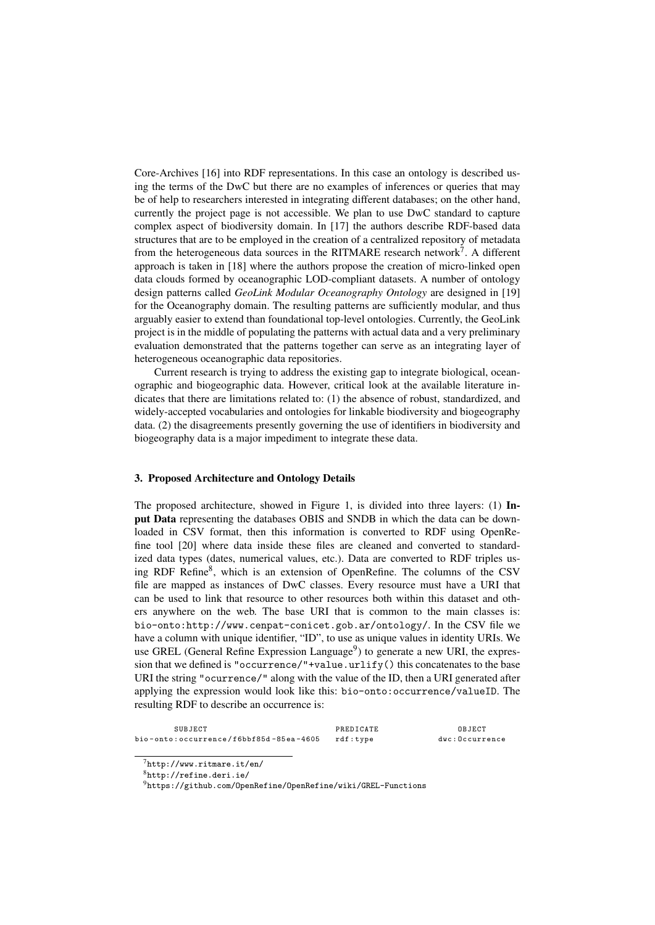Core-Archives [16] into RDF representations. In this case an ontology is described using the terms of the DwC but there are no examples of inferences or queries that may be of help to researchers interested in integrating different databases; on the other hand, currently the project page is not accessible. We plan to use DwC standard to capture complex aspect of biodiversity domain. In [17] the authors describe RDF-based data structures that are to be employed in the creation of a centralized repository of metadata from the heterogeneous data sources in the RITMARE research network<sup>7</sup>. A different approach is taken in [18] where the authors propose the creation of micro-linked open data clouds formed by oceanographic LOD-compliant datasets. A number of ontology design patterns called *GeoLink Modular Oceanography Ontology* are designed in [19] for the Oceanography domain. The resulting patterns are sufficiently modular, and thus arguably easier to extend than foundational top-level ontologies. Currently, the GeoLink project is in the middle of populating the patterns with actual data and a very preliminary evaluation demonstrated that the patterns together can serve as an integrating layer of heterogeneous oceanographic data repositories.

Current research is trying to address the existing gap to integrate biological, oceanographic and biogeographic data. However, critical look at the available literature indicates that there are limitations related to: (1) the absence of robust, standardized, and widely-accepted vocabularies and ontologies for linkable biodiversity and biogeography data. (2) the disagreements presently governing the use of identifiers in biodiversity and biogeography data is a major impediment to integrate these data.

#### 3. Proposed Architecture and Ontology Details

The proposed architecture, showed in Figure 1, is divided into three layers: (1) Input Data representing the databases OBIS and SNDB in which the data can be downloaded in CSV format, then this information is converted to RDF using OpenRefine tool [20] where data inside these files are cleaned and converted to standardized data types (dates, numerical values, etc.). Data are converted to RDF triples using RDF Refine<sup>8</sup>, which is an extension of OpenRefine. The columns of the CSV file are mapped as instances of DwC classes. Every resource must have a URI that can be used to link that resource to other resources both within this dataset and others anywhere on the web. The base URI that is common to the main classes is: bio-onto:http://www.cenpat-conicet.gob.ar/ontology/. In the CSV file we have a column with unique identifier, "ID", to use as unique values in identity URIs. We use GREL (General Refine Expression Language<sup>9</sup>) to generate a new URI, the expression that we defined is "occurrence/"+value.urlify() this concatenates to the base URI the string "ocurrence/" along with the value of the ID, then a URI generated after applying the expression would look like this: bio-onto:occurrence/valueID. The resulting RDF to describe an occurrence is:

| SUBJECT                                         | PREDICATE | OBJECT         |
|-------------------------------------------------|-----------|----------------|
| bio-onto:occurrence/f6bbf85d-85ea-4605 rdf:type |           | dwc:Occurrence |

 $^{7}$ http://www.ritmare.it/en/

<sup>8</sup>http://refine.deri.ie/

<sup>9</sup>https://github.com/OpenRefine/OpenRefine/wiki/GREL-Functions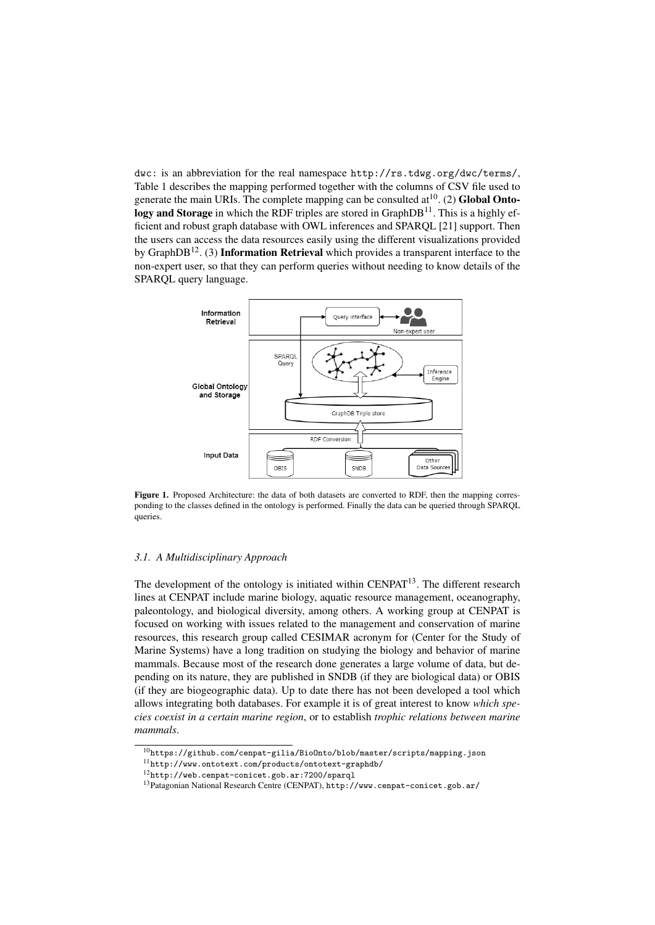dwc: is an abbreviation for the real namespace http://rs.tdwg.org/dwc/terms/, Table 1 describes the mapping performed together with the columns of CSV file used to generate the main URIs. The complete mapping can be consulted  $at^{10}$ . (2) Global Ontology and Storage in which the RDF triples are stored in GraphDB $^{11}$ . This is a highly efficient and robust graph database with OWL inferences and SPARQL [21] support. Then the users can access the data resources easily using the different visualizations provided by GraphDB<sup>12</sup>. (3) **Information Retrieval** which provides a transparent interface to the non-expert user, so that they can perform queries without needing to know details of the SPARQL query language.



Figure 1. Proposed Architecture: the data of both datasets are converted to RDF, then the mapping corresponding to the classes defined in the ontology is performed. Finally the data can be queried through SPARQL queries.

## *3.1. A Multidisciplinary Approach*

The development of the ontology is initiated within  $CENPATH<sup>13</sup>$ . The different research lines at CENPAT include marine biology, aquatic resource management, oceanography, paleontology, and biological diversity, among others. A working group at CENPAT is focused on working with issues related to the management and conservation of marine resources, this research group called CESIMAR acronym for (Center for the Study of Marine Systems) have a long tradition on studying the biology and behavior of marine mammals. Because most of the research done generates a large volume of data, but depending on its nature, they are published in SNDB (if they are biological data) or OBIS (if they are biogeographic data). Up to date there has not been developed a tool which allows integrating both databases. For example it is of great interest to know *which species coexist in a certain marine region*, or to establish *trophic relations between marine mammals*.

 $^{10}\text{https://github.com/cenpat-gilia/Bio0nto/blob/master/scripts/mapping.json}$ 

<sup>11</sup>http://www.ontotext.com/products/ontotext-graphdb/

<sup>12</sup>http://web.cenpat-conicet.gob.ar:7200/sparql

<sup>13</sup>Patagonian National Research Centre (CENPAT), http://www.cenpat-conicet.gob.ar/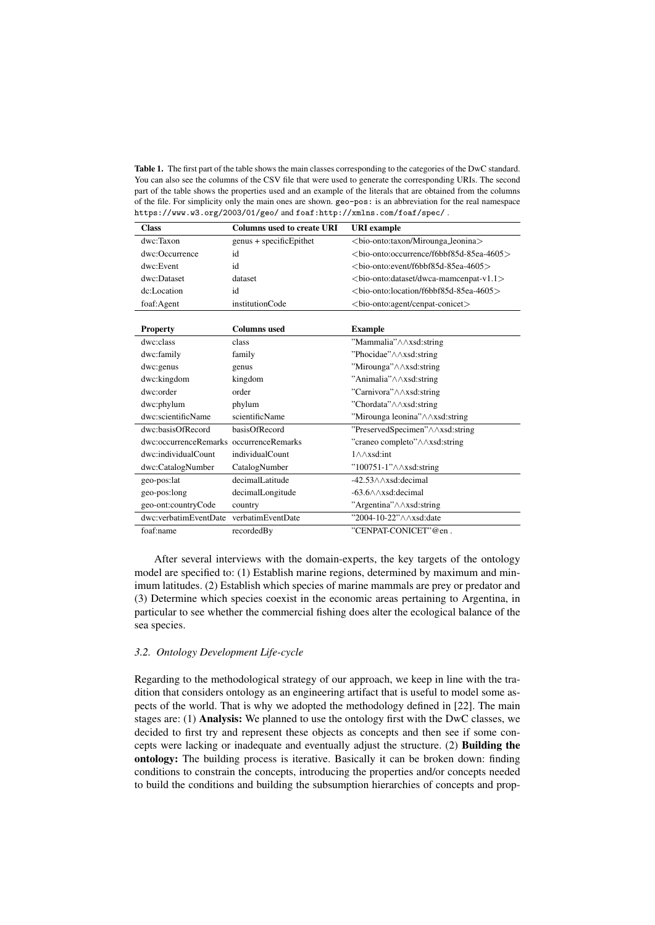Table 1. The first part of the table shows the main classes corresponding to the categories of the DwC standard. You can also see the columns of the CSV file that were used to generate the corresponding URIs. The second part of the table shows the properties used and an example of the literals that are obtained from the columns of the file. For simplicity only the main ones are shown. geo-pos: is an abbreviation for the real namespace https://www.w3.org/2003/01/geo/ and foaf:http://xmlns.com/foaf/spec/ .

| <b>Class</b>                            | <b>Columns used to create URI</b> | <b>URI</b> example                                 |
|-----------------------------------------|-----------------------------------|----------------------------------------------------|
| dwc:Taxon                               | genus + specificEpithet           | <br>chio-onto: taxon/Mirounga_leonina>             |
| dwc:Occurrence                          | id                                | <br>chio-onto: occurrence/f6bbf85d-85ea-4605>      |
| dwc:Event                               | id                                | <br>chio-onto:event/f6bbf85d-85ea-4605>            |
| dwc:Dataset                             | dataset                           | <br>onto: dataset/dwca-mamcenpat-v1.1>             |
| dc:Location                             | id                                | $\langle$ hio-onto:location/f6bbf85d-85ea-4605 $>$ |
| foaf:Agent                              | institutionCode                   | <br>loio - onto: agent/cenpat-conicet>             |
|                                         |                                   |                                                    |
| <b>Property</b>                         | <b>Columns</b> used               | <b>Example</b>                                     |
| dwc:class                               | class                             | "Mammalia" $\land$ $\land$ xsd:string              |
| dwc:family                              | family                            | "Phocidae" $\land$ $\land$ xsd:string              |
| dwc:genus                               | genus                             | "Mirounga"/\/\xsd:string                           |
| dwc:kingdom                             | kingdom                           | "Animalia" $\land$ $\land$ xsd:string              |
| dwc:order                               | order                             | "Carnivora"/\/\xsd:string                          |
| dwc:phylum                              | phylum                            | "Chordata"/\/\xsd:string                           |
| dwc:scientificName                      | scientificName                    | "Mirounga leonina" $\land$ $\land$ xsd: string     |
| dwc:basisOfRecord                       | basisOfRecord                     | $"PreservedSpecimen"\wedge\wedge xsd:string$       |
| dwc:occurrenceRemarks_occurrenceRemarks |                                   | "craneo completo"/\/\xsd:string                    |
| dwc:individualCount                     | individualCount                   | $1 \wedge \wedge x$ sd:int                         |
| dwc:CatalogNumber                       | CatalogNumber                     | $"100751-1" \wedge \wedge xsd:string$              |
| geo-pos:lat                             | decimalLatitude                   | $-42.53 \wedge \wedge xsd$ : decimal               |
| geo-pos:long                            | decimalLongitude                  | $-63.6 \wedge \wedge xsd$ : decimal                |
| geo-ont:countryCode                     | country                           | "Argentina" $\wedge \wedge x$ sd:string            |
| dwc:verbatimEventDate                   | verbatimEventDate                 | "2004-10-22" \ \ \ xsd:date                        |
| foaf:name                               | recordedBy                        | "CENPAT-CONICET"@en.                               |

After several interviews with the domain-experts, the key targets of the ontology model are specified to: (1) Establish marine regions, determined by maximum and minimum latitudes. (2) Establish which species of marine mammals are prey or predator and (3) Determine which species coexist in the economic areas pertaining to Argentina, in particular to see whether the commercial fishing does alter the ecological balance of the sea species.

## *3.2. Ontology Development Life-cycle*

Regarding to the methodological strategy of our approach, we keep in line with the tradition that considers ontology as an engineering artifact that is useful to model some aspects of the world. That is why we adopted the methodology defined in [22]. The main stages are: (1) Analysis: We planned to use the ontology first with the DwC classes, we decided to first try and represent these objects as concepts and then see if some concepts were lacking or inadequate and eventually adjust the structure. (2) Building the ontology: The building process is iterative. Basically it can be broken down: finding conditions to constrain the concepts, introducing the properties and/or concepts needed to build the conditions and building the subsumption hierarchies of concepts and prop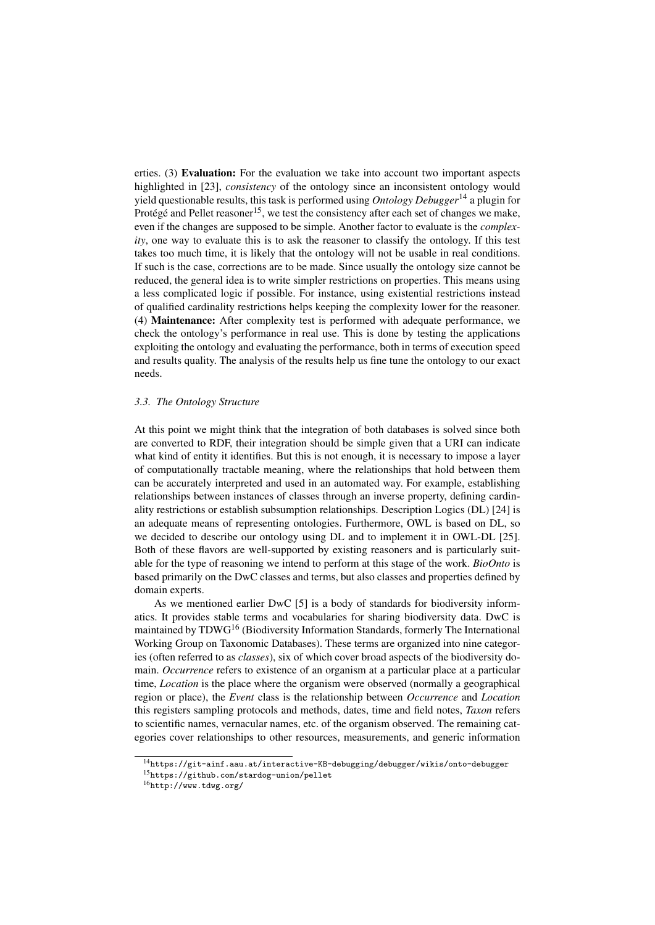erties. (3) Evaluation: For the evaluation we take into account two important aspects highlighted in [23], *consistency* of the ontology since an inconsistent ontology would yield questionable results, this task is performed using *Ontology Debugger*<sup>14</sup> a plugin for Protégé and Pellet reasoner<sup>15</sup>, we test the consistency after each set of changes we make, even if the changes are supposed to be simple. Another factor to evaluate is the *complexity*, one way to evaluate this is to ask the reasoner to classify the ontology. If this test takes too much time, it is likely that the ontology will not be usable in real conditions. If such is the case, corrections are to be made. Since usually the ontology size cannot be reduced, the general idea is to write simpler restrictions on properties. This means using a less complicated logic if possible. For instance, using existential restrictions instead of qualified cardinality restrictions helps keeping the complexity lower for the reasoner. (4) Maintenance: After complexity test is performed with adequate performance, we check the ontology's performance in real use. This is done by testing the applications exploiting the ontology and evaluating the performance, both in terms of execution speed and results quality. The analysis of the results help us fine tune the ontology to our exact needs.

## *3.3. The Ontology Structure*

At this point we might think that the integration of both databases is solved since both are converted to RDF, their integration should be simple given that a URI can indicate what kind of entity it identifies. But this is not enough, it is necessary to impose a layer of computationally tractable meaning, where the relationships that hold between them can be accurately interpreted and used in an automated way. For example, establishing relationships between instances of classes through an inverse property, defining cardinality restrictions or establish subsumption relationships. Description Logics (DL) [24] is an adequate means of representing ontologies. Furthermore, OWL is based on DL, so we decided to describe our ontology using DL and to implement it in OWL-DL [25]. Both of these flavors are well-supported by existing reasoners and is particularly suitable for the type of reasoning we intend to perform at this stage of the work. *BioOnto* is based primarily on the DwC classes and terms, but also classes and properties defined by domain experts.

As we mentioned earlier DwC [5] is a body of standards for biodiversity informatics. It provides stable terms and vocabularies for sharing biodiversity data. DwC is maintained by TDWG<sup>16</sup> (Biodiversity Information Standards, formerly The International Working Group on Taxonomic Databases). These terms are organized into nine categories (often referred to as *classes*), six of which cover broad aspects of the biodiversity domain. *Occurrence* refers to existence of an organism at a particular place at a particular time, *Location* is the place where the organism were observed (normally a geographical region or place), the *Event* class is the relationship between *Occurrence* and *Location* this registers sampling protocols and methods, dates, time and field notes, *Taxon* refers to scientific names, vernacular names, etc. of the organism observed. The remaining categories cover relationships to other resources, measurements, and generic information

<sup>14</sup>https://git-ainf.aau.at/interactive-KB-debugging/debugger/wikis/onto-debugger

<sup>15</sup>https://github.com/stardog-union/pellet

<sup>16</sup>http://www.tdwg.org/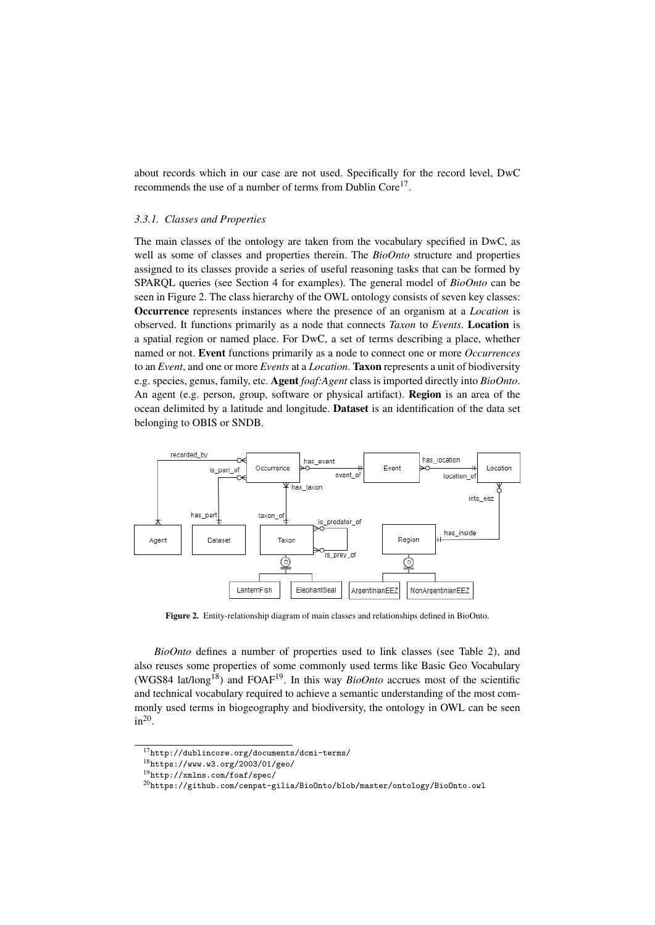about records which in our case are not used. Specifically for the record level, DwC recommends the use of a number of terms from Dublin Core<sup>17</sup>.

## *3.3.1. Classes and Properties*

The main classes of the ontology are taken from the vocabulary specified in DwC, as well as some of classes and properties therein. The *BioOnto* structure and properties assigned to its classes provide a series of useful reasoning tasks that can be formed by SPARQL queries (see Section 4 for examples). The general model of *BioOnto* can be seen in Figure 2. The class hierarchy of the OWL ontology consists of seven key classes: Occurrence represents instances where the presence of an organism at a *Location* is observed. It functions primarily as a node that connects *Taxon* to *Events*. Location is a spatial region or named place. For DwC, a set of terms describing a place, whether named or not. Event functions primarily as a node to connect one or more *Occurrences* to an *Event*, and one or more *Events* at a *Location*. Taxon represents a unit of biodiversity e.g. species, genus, family, etc. Agent *foaf:Agent* class is imported directly into *BioOnto*. An agent (e.g. person, group, software or physical artifact). Region is an area of the ocean delimited by a latitude and longitude. Dataset is an identification of the data set belonging to OBIS or SNDB.



Figure 2. Entity-relationship diagram of main classes and relationships defined in BioOnto.

*BioOnto* defines a number of properties used to link classes (see Table 2), and also reuses some properties of some commonly used terms like Basic Geo Vocabulary (WGS84 lat/long<sup>18</sup>) and FOAF<sup>19</sup>. In this way *BioOnto* accrues most of the scientific and technical vocabulary required to achieve a semantic understanding of the most commonly used terms in biogeography and biodiversity, the ontology in OWL can be seen  $in^{20}$ .

<sup>17</sup>http://dublincore.org/documents/dcmi-terms/

<sup>18</sup>https://www.w3.org/2003/01/geo/

<sup>19</sup>http://xmlns.com/foaf/spec/

<sup>20</sup>https://github.com/cenpat-gilia/BioOnto/blob/master/ontology/BioOnto.owl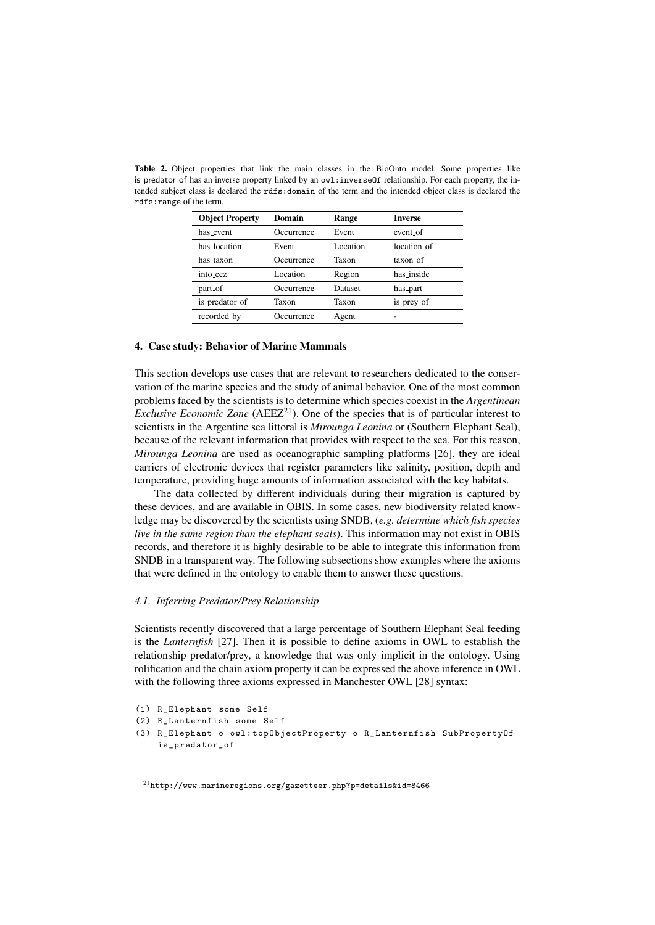| <b>Object Property</b> | Domain     | Range    | <b>Inverse</b> |
|------------------------|------------|----------|----------------|
| has event              | Occurrence | Event    | event of       |
| has location           | Event      | Location | location of    |
| has taxon              | Occurrence | Taxon    | taxon of       |
| into eez               | Location   | Region   | has inside     |
| part_of                | Occurrence | Dataset  | has_part       |
| is_predator_of         | Taxon      | Taxon    | is_prey_of     |
| recorded_by            | Occurrence | Agent    |                |

Table 2. Object properties that link the main classes in the BioOnto model. Some properties like is predator of has an inverse property linked by an owl:inverseOf relationship. For each property, the intended subject class is declared the rdfs:domain of the term and the intended object class is declared the rdfs:range of the term.

#### 4. Case study: Behavior of Marine Mammals

This section develops use cases that are relevant to researchers dedicated to the conservation of the marine species and the study of animal behavior. One of the most common problems faced by the scientists is to determine which species coexist in the *Argentinean Exclusive Economic Zone* (AEEZ<sup>21</sup>). One of the species that is of particular interest to scientists in the Argentine sea littoral is *Mirounga Leonina* or (Southern Elephant Seal), because of the relevant information that provides with respect to the sea. For this reason, *Mirounga Leonina* are used as oceanographic sampling platforms [26], they are ideal carriers of electronic devices that register parameters like salinity, position, depth and temperature, providing huge amounts of information associated with the key habitats.

The data collected by different individuals during their migration is captured by these devices, and are available in OBIS. In some cases, new biodiversity related knowledge may be discovered by the scientists using SNDB, (*e.g. determine which fish species live in the same region than the elephant seals*). This information may not exist in OBIS records, and therefore it is highly desirable to be able to integrate this information from SNDB in a transparent way. The following subsections show examples where the axioms that were defined in the ontology to enable them to answer these questions.

## *4.1. Inferring Predator/Prey Relationship*

Scientists recently discovered that a large percentage of Southern Elephant Seal feeding is the *Lanternfish* [27]. Then it is possible to define axioms in OWL to establish the relationship predator/prey, a knowledge that was only implicit in the ontology. Using rolification and the chain axiom property it can be expressed the above inference in OWL with the following three axioms expressed in Manchester OWL [28] syntax:

```
(1) R_Elephant some Self
```

```
(2) R_Lanternfish some Self
```
<sup>(3)</sup> R\_Elephant o owl : topObjectProperty o R\_Lanternfish SubPropertyOf is\_predator\_of

 $^{21}\mathrm{http://www.marineregions.org/gazetteer.php?p=details$   $\&$  1=8466  $^{21}\mathrm{http://www.marineregions.org/gazetteer.php?p=details$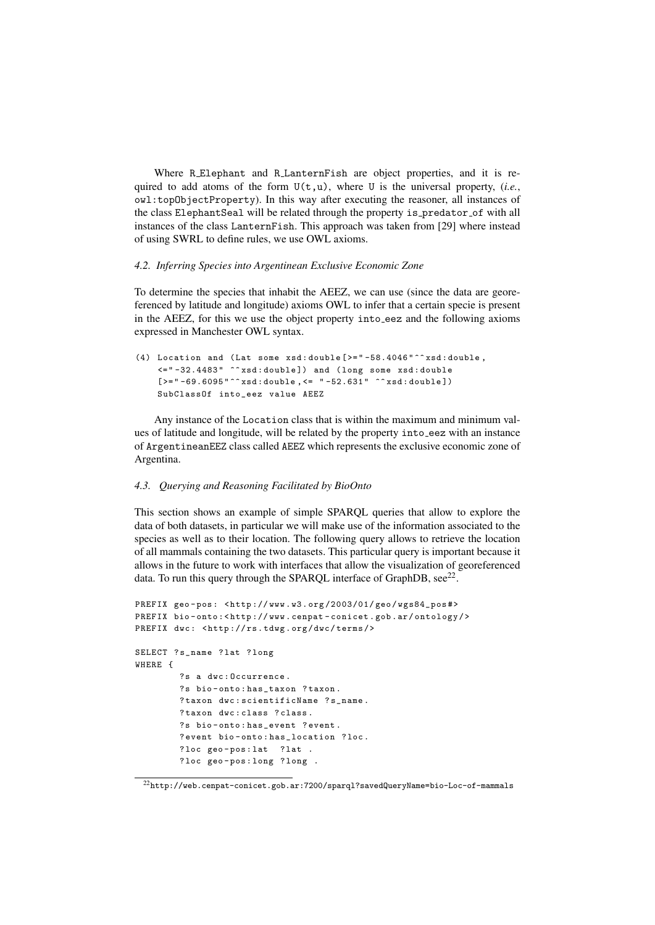Where R Elephant and R LanternFish are object properties, and it is required to add atoms of the form  $U(t,u)$ , where U is the universal property, *(i.e.*, owl:topObjectProperty). In this way after executing the reasoner, all instances of the class ElephantSeal will be related through the property is predator of with all instances of the class LanternFish. This approach was taken from [29] where instead of using SWRL to define rules, we use OWL axioms.

#### *4.2. Inferring Species into Argentinean Exclusive Economic Zone*

To determine the species that inhabit the AEEZ, we can use (since the data are georeferenced by latitude and longitude) axioms OWL to infer that a certain specie is present in the AEEZ, for this we use the object property into eez and the following axioms expressed in Manchester OWL syntax.

```
(4) Location and (Lat some xsd: double \geq ="-58.4046"^^ xsd: double,
    <=" -32.4483 " ^^ xsd : double ]) and ( long some xsd : double
    [>="-69.6095"^^ xsd:double, <= "-52.631" ^^ xsd:double])
    SubClassOf into_eez value AEEZ
```
Any instance of the Location class that is within the maximum and minimum values of latitude and longitude, will be related by the property into eez with an instance of ArgentineanEEZ class called AEEZ which represents the exclusive economic zone of Argentina.

#### *4.3. Querying and Reasoning Facilitated by BioOnto*

This section shows an example of simple SPARQL queries that allow to explore the data of both datasets, in particular we will make use of the information associated to the species as well as to their location. The following query allows to retrieve the location of all mammals containing the two datasets. This particular query is important because it allows in the future to work with interfaces that allow the visualization of georeferenced data. To run this query through the SPARQL interface of GraphDB,  $\sec^{22}$ .

```
PREFIX geo-pos: <http://www.w3.org/2003/01/geo/wgs84_pos#>
PREFIX bio-onto:<http://www.cenpat-conicet.gob.ar/ontology/>
PREFIX dwc: <http://rs.tdwg.org/dwc/terms/>
SELECT ? s_name ? lat ? long
WHERE {
        ?s a dwc : Occurrence .
        ?s bio - onto : has_taxon ? taxon .
        ?taxon dwc: scientificName ? s_name .
        ?taxon dwc: class ? class.
        ?s bio-onto: has_event ? event.
        ? event bio-onto: has_location ? loc.
        ?loc geo-pos:lat ?lat .
        ? loc geo - pos : long ? long .
```
 $^{22}\text{http://web.cenpat-conicet.gov.ar:7200/sparql?savedQueryName=bio-Loc-of-mammals}$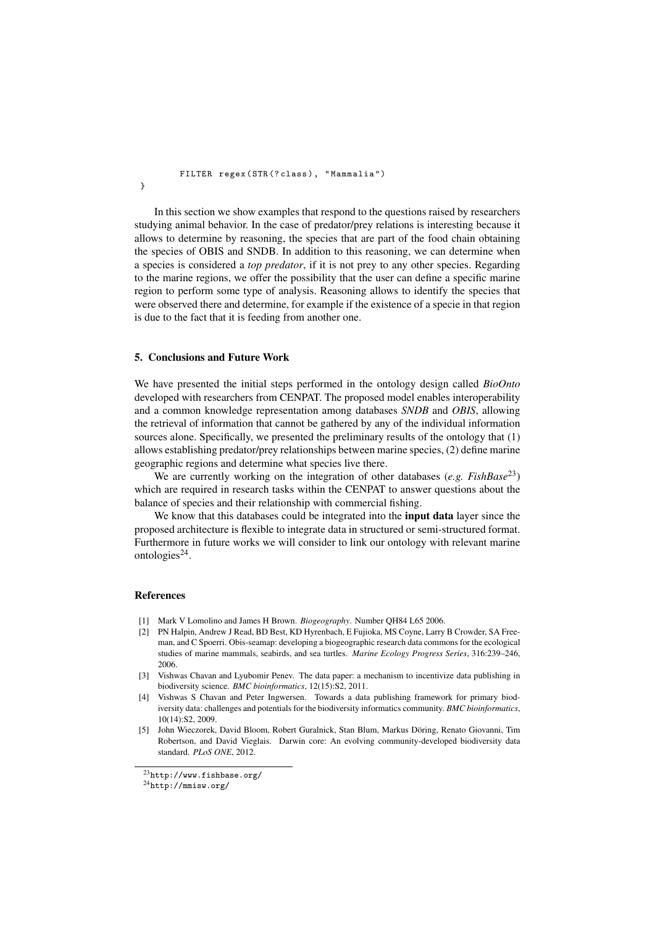FILTER regex ( STR (? class ), " Mammalia ")

In this section we show examples that respond to the questions raised by researchers studying animal behavior. In the case of predator/prey relations is interesting because it allows to determine by reasoning, the species that are part of the food chain obtaining the species of OBIS and SNDB. In addition to this reasoning, we can determine when a species is considered a *top predator*, if it is not prey to any other species. Regarding to the marine regions, we offer the possibility that the user can define a specific marine region to perform some type of analysis. Reasoning allows to identify the species that were observed there and determine, for example if the existence of a specie in that region is due to the fact that it is feeding from another one.

#### 5. Conclusions and Future Work

We have presented the initial steps performed in the ontology design called *BioOnto* developed with researchers from CENPAT. The proposed model enables interoperability and a common knowledge representation among databases *SNDB* and *OBIS*, allowing the retrieval of information that cannot be gathered by any of the individual information sources alone. Specifically, we presented the preliminary results of the ontology that (1) allows establishing predator/prey relationships between marine species, (2) define marine geographic regions and determine what species live there.

We are currently working on the integration of other databases (*e.g. FishBase*<sup>23</sup>) which are required in research tasks within the CENPAT to answer questions about the balance of species and their relationship with commercial fishing.

We know that this databases could be integrated into the **input data** layer since the proposed architecture is flexible to integrate data in structured or semi-structured format. Furthermore in future works we will consider to link our ontology with relevant marine ontologies $^{24}$ .

## References

}

- [1] Mark V Lomolino and James H Brown. *Biogeography*. Number QH84 L65 2006.
- [2] PN Halpin, Andrew J Read, BD Best, KD Hyrenbach, E Fujioka, MS Coyne, Larry B Crowder, SA Freeman, and C Spoerri. Obis-seamap: developing a biogeographic research data commons for the ecological studies of marine mammals, seabirds, and sea turtles. *Marine Ecology Progress Series*, 316:239–246, 2006.
- [3] Vishwas Chavan and Lyubomir Penev. The data paper: a mechanism to incentivize data publishing in biodiversity science. *BMC bioinformatics*, 12(15):S2, 2011.
- [4] Vishwas S Chavan and Peter Ingwersen. Towards a data publishing framework for primary biodiversity data: challenges and potentials for the biodiversity informatics community. *BMC bioinformatics*, 10(14):S2, 2009.
- [5] John Wieczorek, David Bloom, Robert Guralnick, Stan Blum, Markus Doring, Renato Giovanni, Tim ¨ Robertson, and David Vieglais. Darwin core: An evolving community-developed biodiversity data standard. *PLoS ONE*, 2012.

<sup>23</sup>http://www.fishbase.org/

<sup>24</sup>http://mmisw.org/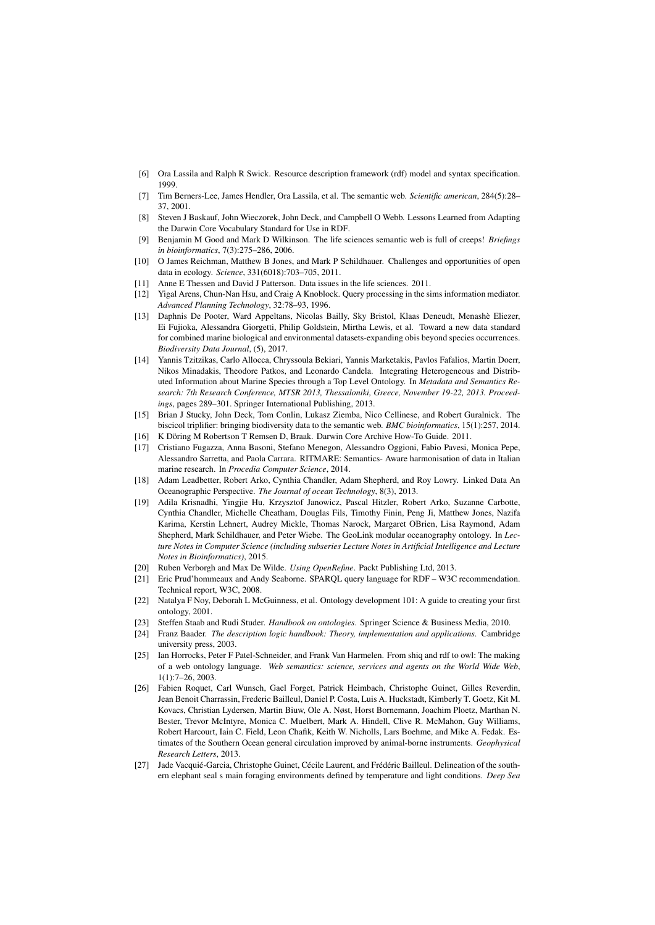- [6] Ora Lassila and Ralph R Swick. Resource description framework (rdf) model and syntax specification. 1999.
- [7] Tim Berners-Lee, James Hendler, Ora Lassila, et al. The semantic web. *Scientific american*, 284(5):28– 37, 2001.
- [8] Steven J Baskauf, John Wieczorek, John Deck, and Campbell O Webb. Lessons Learned from Adapting the Darwin Core Vocabulary Standard for Use in RDF.
- [9] Benjamin M Good and Mark D Wilkinson. The life sciences semantic web is full of creeps! *Briefings in bioinformatics*, 7(3):275–286, 2006.
- [10] O James Reichman, Matthew B Jones, and Mark P Schildhauer. Challenges and opportunities of open data in ecology. *Science*, 331(6018):703–705, 2011.
- [11] Anne E Thessen and David J Patterson. Data issues in the life sciences. 2011.
- [12] Yigal Arens, Chun-Nan Hsu, and Craig A Knoblock. Query processing in the sims information mediator. *Advanced Planning Technology*, 32:78–93, 1996.
- [13] Daphnis De Pooter, Ward Appeltans, Nicolas Bailly, Sky Bristol, Klaas Deneudt, Menashe Eliezer, ` Ei Fujioka, Alessandra Giorgetti, Philip Goldstein, Mirtha Lewis, et al. Toward a new data standard for combined marine biological and environmental datasets-expanding obis beyond species occurrences. *Biodiversity Data Journal*, (5), 2017.
- [14] Yannis Tzitzikas, Carlo Allocca, Chryssoula Bekiari, Yannis Marketakis, Pavlos Fafalios, Martin Doerr, Nikos Minadakis, Theodore Patkos, and Leonardo Candela. Integrating Heterogeneous and Distributed Information about Marine Species through a Top Level Ontology. In *Metadata and Semantics Research: 7th Research Conference, MTSR 2013, Thessaloniki, Greece, November 19-22, 2013. Proceedings*, pages 289–301. Springer International Publishing, 2013.
- [15] Brian J Stucky, John Deck, Tom Conlin, Lukasz Ziemba, Nico Cellinese, and Robert Guralnick. The biscicol triplifier: bringing biodiversity data to the semantic web. *BMC bioinformatics*, 15(1):257, 2014. [16] K Döring M Robertson T Remsen D, Braak. Darwin Core Archive How-To Guide. 2011.
- [17] Cristiano Fugazza, Anna Basoni, Stefano Menegon, Alessandro Oggioni, Fabio Pavesi, Monica Pepe, Alessandro Sarretta, and Paola Carrara. RITMARE: Semantics- Aware harmonisation of data in Italian marine research. In *Procedia Computer Science*, 2014.
- [18] Adam Leadbetter, Robert Arko, Cynthia Chandler, Adam Shepherd, and Roy Lowry. Linked Data An Oceanographic Perspective. *The Journal of ocean Technology*, 8(3), 2013.
- [19] Adila Krisnadhi, Yingjie Hu, Krzysztof Janowicz, Pascal Hitzler, Robert Arko, Suzanne Carbotte, Cynthia Chandler, Michelle Cheatham, Douglas Fils, Timothy Finin, Peng Ji, Matthew Jones, Nazifa Karima, Kerstin Lehnert, Audrey Mickle, Thomas Narock, Margaret OBrien, Lisa Raymond, Adam Shepherd, Mark Schildhauer, and Peter Wiebe. The GeoLink modular oceanography ontology. In *Lecture Notes in Computer Science (including subseries Lecture Notes in Artificial Intelligence and Lecture Notes in Bioinformatics)*, 2015.
- [20] Ruben Verborgh and Max De Wilde. *Using OpenRefine*. Packt Publishing Ltd, 2013.
- [21] Eric Prud'hommeaux and Andy Seaborne. SPARQL query language for RDF W3C recommendation. Technical report, W3C, 2008.
- [22] Natalya F Noy, Deborah L McGuinness, et al. Ontology development 101: A guide to creating your first ontology, 2001.
- [23] Steffen Staab and Rudi Studer. *Handbook on ontologies*. Springer Science & Business Media, 2010.
- [24] Franz Baader. *The description logic handbook: Theory, implementation and applications*. Cambridge university press, 2003.
- [25] Ian Horrocks, Peter F Patel-Schneider, and Frank Van Harmelen. From shiq and rdf to owl: The making of a web ontology language. *Web semantics: science, services and agents on the World Wide Web*, 1(1):7–26, 2003.
- [26] Fabien Roquet, Carl Wunsch, Gael Forget, Patrick Heimbach, Christophe Guinet, Gilles Reverdin, Jean Benoit Charrassin, Frederic Bailleul, Daniel P. Costa, Luis A. Huckstadt, Kimberly T. Goetz, Kit M. Kovacs, Christian Lydersen, Martin Biuw, Ole A. Nøst, Horst Bornemann, Joachim Ploetz, Marthan N. Bester, Trevor McIntyre, Monica C. Muelbert, Mark A. Hindell, Clive R. McMahon, Guy Williams, Robert Harcourt, Iain C. Field, Leon Chafik, Keith W. Nicholls, Lars Boehme, and Mike A. Fedak. Estimates of the Southern Ocean general circulation improved by animal-borne instruments. *Geophysical Research Letters*, 2013.
- [27] Jade Vacquié-Garcia, Christophe Guinet, Cécile Laurent, and Frédéric Bailleul. Delineation of the southern elephant seal s main foraging environments defined by temperature and light conditions. *Deep Sea*